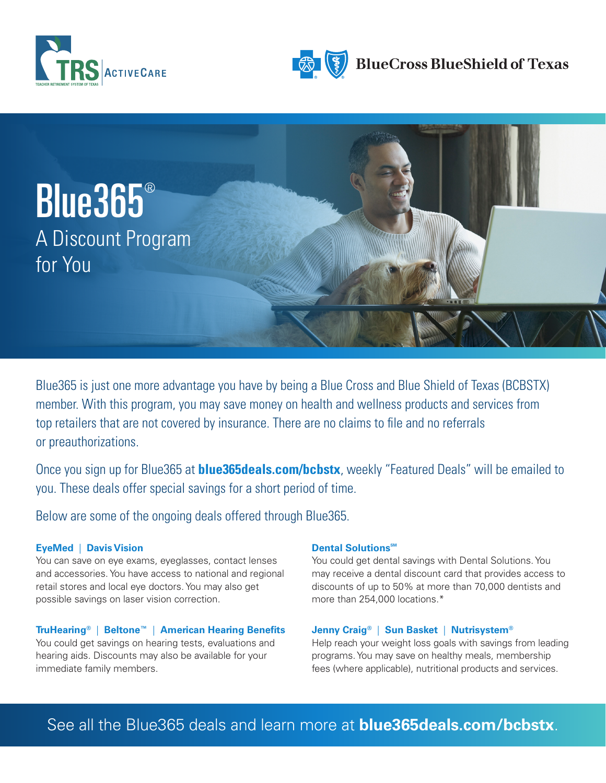





Blue365 is just one more advantage you have by being a Blue Cross and Blue Shield of Texas (BCBSTX) member. With this program, you may save money on health and wellness products and services from top retailers that are not covered by insurance. There are no claims to file and no referrals or preauthorizations.

Once you sign up for Blue365 at **blue365deals.com/bcbstx**, weekly "Featured Deals" will be emailed to you. These deals offer special savings for a short period of time.

Below are some of the ongoing deals offered through Blue365.

# **EyeMed** | **Davis Vision**

You can save on eye exams, eyeglasses, contact lenses and accessories. You have access to national and regional retail stores and local eye doctors. You may also get possible savings on laser vision correction.

# **TruHearing®** | **Beltone™** | **American Hearing Benefits**

You could get savings on hearing tests, evaluations and hearing aids. Discounts may also be available for your immediate family members.

# **Dental Solutions**<sup>SM</sup>

You could get dental savings with Dental Solutions. You may receive a dental discount card that provides access to discounts of up to 50% at more than 70,000 dentists and more than 254,000 locations.\*

# **Jenny Craig®** | **Sun Basket** | **Nutrisystem®**

Help reach your weight loss goals with savings from leading programs. You may save on healthy meals, membership fees (where applicable), nutritional products and services.

# See all the Blue365 deals and learn more at **blue365deals.com/bcbstx**.